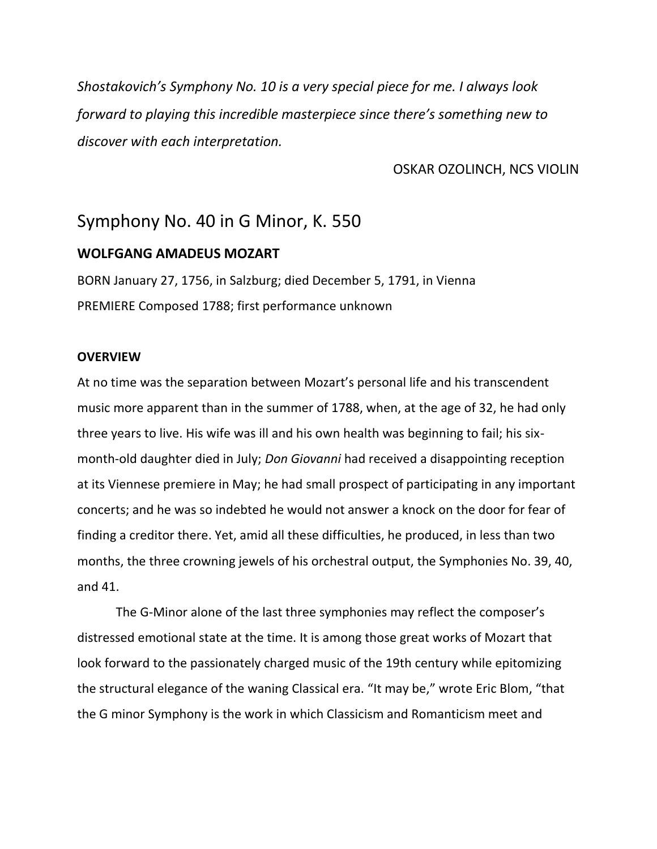*Shostakovich's Symphony No. 10 is a very special piece for me. I always look forward to playing this incredible masterpiece since there's something new to discover with each interpretation.*

### OSKAR OZOLINCH, NCS VIOLIN

# Symphony No. 40 in G Minor, K. 550

### **WOLFGANG AMADEUS MOZART**

BORN January 27, 1756, in Salzburg; died December 5, 1791, in Vienna PREMIERE Composed 1788; first performance unknown

#### **OVERVIEW**

At no time was the separation between Mozart's personal life and his transcendent music more apparent than in the summer of 1788, when, at the age of 32, he had only three years to live. His wife was ill and his own health was beginning to fail; his sixmonth-old daughter died in July; *Don Giovanni* had received a disappointing reception at its Viennese premiere in May; he had small prospect of participating in any important concerts; and he was so indebted he would not answer a knock on the door for fear of finding a creditor there. Yet, amid all these difficulties, he produced, in less than two months, the three crowning jewels of his orchestral output, the Symphonies No. 39, 40, and 41.

The G-Minor alone of the last three symphonies may reflect the composer's distressed emotional state at the time. It is among those great works of Mozart that look forward to the passionately charged music of the 19th century while epitomizing the structural elegance of the waning Classical era. "It may be," wrote Eric Blom, "that the G minor Symphony is the work in which Classicism and Romanticism meet and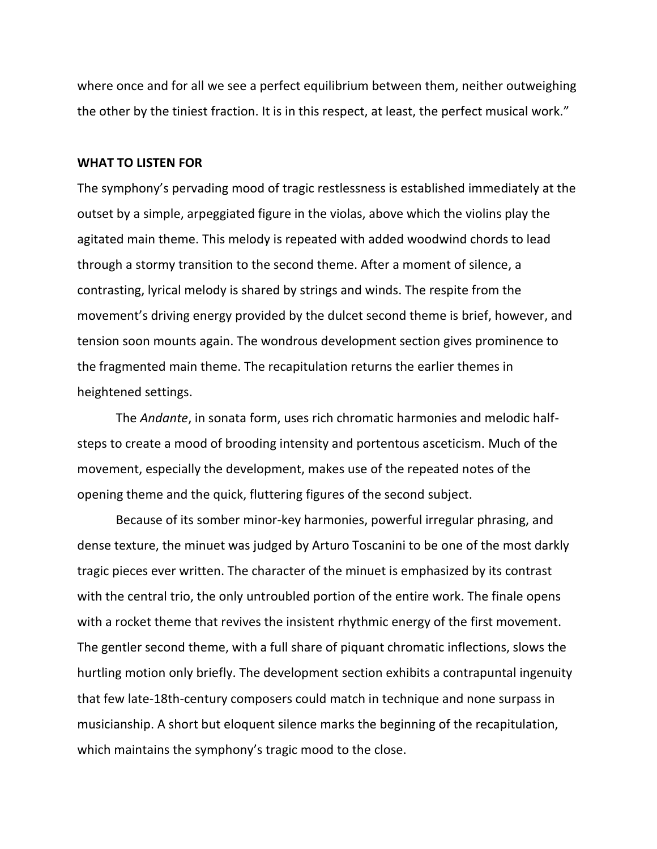where once and for all we see a perfect equilibrium between them, neither outweighing the other by the tiniest fraction. It is in this respect, at least, the perfect musical work."

#### **WHAT TO LISTEN FOR**

The symphony's pervading mood of tragic restlessness is established immediately at the outset by a simple, arpeggiated figure in the violas, above which the violins play the agitated main theme. This melody is repeated with added woodwind chords to lead through a stormy transition to the second theme. After a moment of silence, a contrasting, lyrical melody is shared by strings and winds. The respite from the movement's driving energy provided by the dulcet second theme is brief, however, and tension soon mounts again. The wondrous development section gives prominence to the fragmented main theme. The recapitulation returns the earlier themes in heightened settings.

The *Andante*, in sonata form, uses rich chromatic harmonies and melodic halfsteps to create a mood of brooding intensity and portentous asceticism. Much of the movement, especially the development, makes use of the repeated notes of the opening theme and the quick, fluttering figures of the second subject.

Because of its somber minor-key harmonies, powerful irregular phrasing, and dense texture, the minuet was judged by Arturo Toscanini to be one of the most darkly tragic pieces ever written. The character of the minuet is emphasized by its contrast with the central trio, the only untroubled portion of the entire work. The finale opens with a rocket theme that revives the insistent rhythmic energy of the first movement. The gentler second theme, with a full share of piquant chromatic inflections, slows the hurtling motion only briefly. The development section exhibits a contrapuntal ingenuity that few late-18th-century composers could match in technique and none surpass in musicianship. A short but eloquent silence marks the beginning of the recapitulation, which maintains the symphony's tragic mood to the close.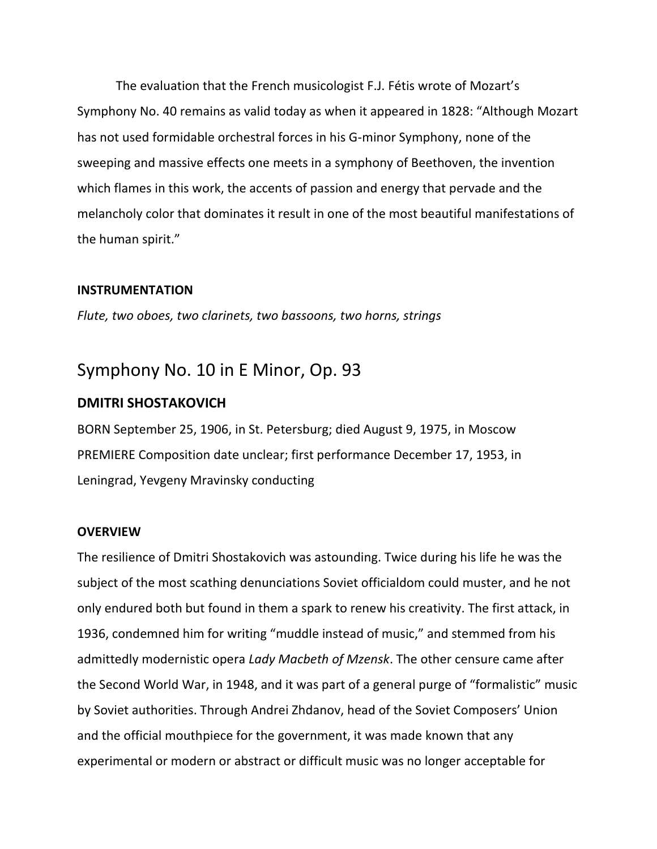The evaluation that the French musicologist F.J. Fétis wrote of Mozart's Symphony No. 40 remains as valid today as when it appeared in 1828: "Although Mozart has not used formidable orchestral forces in his G-minor Symphony, none of the sweeping and massive effects one meets in a symphony of Beethoven, the invention which flames in this work, the accents of passion and energy that pervade and the melancholy color that dominates it result in one of the most beautiful manifestations of the human spirit."

### **INSTRUMENTATION**

*Flute, two oboes, two clarinets, two bassoons, two horns, strings*

# Symphony No. 10 in E Minor, Op. 93

### **DMITRI SHOSTAKOVICH**

BORN September 25, 1906, in St. Petersburg; died August 9, 1975, in Moscow PREMIERE Composition date unclear; first performance December 17, 1953, in Leningrad, Yevgeny Mravinsky conducting

### **OVERVIEW**

The resilience of Dmitri Shostakovich was astounding. Twice during his life he was the subject of the most scathing denunciations Soviet officialdom could muster, and he not only endured both but found in them a spark to renew his creativity. The first attack, in 1936, condemned him for writing "muddle instead of music," and stemmed from his admittedly modernistic opera *Lady Macbeth of Mzensk*. The other censure came after the Second World War, in 1948, and it was part of a general purge of "formalistic" music by Soviet authorities. Through Andrei Zhdanov, head of the Soviet Composers' Union and the official mouthpiece for the government, it was made known that any experimental or modern or abstract or difficult music was no longer acceptable for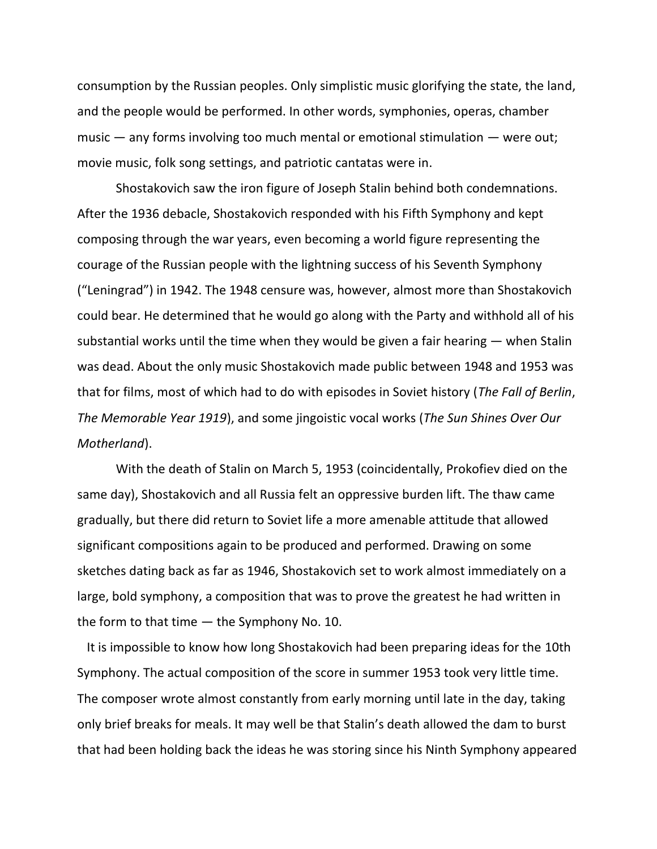consumption by the Russian peoples. Only simplistic music glorifying the state, the land, and the people would be performed. In other words, symphonies, operas, chamber music  $-$  any forms involving too much mental or emotional stimulation  $-$  were out; movie music, folk song settings, and patriotic cantatas were in.

Shostakovich saw the iron figure of Joseph Stalin behind both condemnations. After the 1936 debacle, Shostakovich responded with his Fifth Symphony and kept composing through the war years, even becoming a world figure representing the courage of the Russian people with the lightning success of his Seventh Symphony ("Leningrad") in 1942. The 1948 censure was, however, almost more than Shostakovich could bear. He determined that he would go along with the Party and withhold all of his substantial works until the time when they would be given a fair hearing  $-$  when Stalin was dead. About the only music Shostakovich made public between 1948 and 1953 was that for films, most of which had to do with episodes in Soviet history (*The Fall of Berlin*, *The Memorable Year 1919*), and some jingoistic vocal works (*The Sun Shines Over Our Motherland*).

With the death of Stalin on March 5, 1953 (coincidentally, Prokofiev died on the same day), Shostakovich and all Russia felt an oppressive burden lift. The thaw came gradually, but there did return to Soviet life a more amenable attitude that allowed significant compositions again to be produced and performed. Drawing on some sketches dating back as far as 1946, Shostakovich set to work almost immediately on a large, bold symphony, a composition that was to prove the greatest he had written in the form to that time — the Symphony No. 10.

It is impossible to know how long Shostakovich had been preparing ideas for the 10th Symphony. The actual composition of the score in summer 1953 took very little time. The composer wrote almost constantly from early morning until late in the day, taking only brief breaks for meals. It may well be that Stalin's death allowed the dam to burst that had been holding back the ideas he was storing since his Ninth Symphony appeared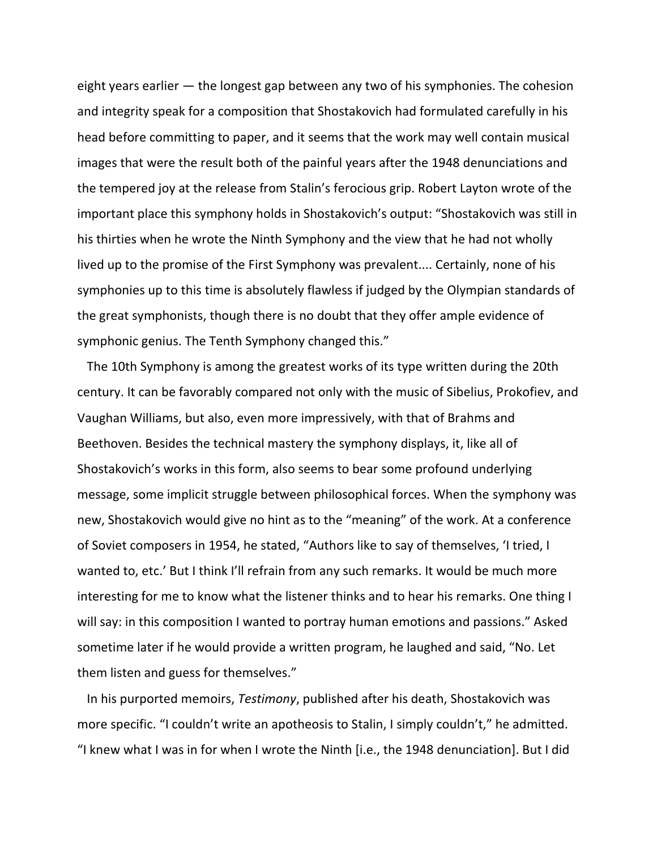eight years earlier — the longest gap between any two of his symphonies. The cohesion and integrity speak for a composition that Shostakovich had formulated carefully in his head before committing to paper, and it seems that the work may well contain musical images that were the result both of the painful years after the 1948 denunciations and the tempered joy at the release from Stalin's ferocious grip. Robert Layton wrote of the important place this symphony holds in Shostakovich's output: "Shostakovich was still in his thirties when he wrote the Ninth Symphony and the view that he had not wholly lived up to the promise of the First Symphony was prevalent.... Certainly, none of his symphonies up to this time is absolutely flawless if judged by the Olympian standards of the great symphonists, though there is no doubt that they offer ample evidence of symphonic genius. The Tenth Symphony changed this."

The 10th Symphony is among the greatest works of its type written during the 20th century. It can be favorably compared not only with the music of Sibelius, Prokofiev, and Vaughan Williams, but also, even more impressively, with that of Brahms and Beethoven. Besides the technical mastery the symphony displays, it, like all of Shostakovich's works in this form, also seems to bear some profound underlying message, some implicit struggle between philosophical forces. When the symphony was new, Shostakovich would give no hint as to the "meaning" of the work. At a conference of Soviet composers in 1954, he stated, "Authors like to say of themselves, 'I tried, I wanted to, etc.' But I think I'll refrain from any such remarks. It would be much more interesting for me to know what the listener thinks and to hear his remarks. One thing I will say: in this composition I wanted to portray human emotions and passions." Asked sometime later if he would provide a written program, he laughed and said, "No. Let them listen and guess for themselves."

In his purported memoirs, *Testimony*, published after his death, Shostakovich was more specific. "I couldn't write an apotheosis to Stalin, I simply couldn't," he admitted. "I knew what I was in for when I wrote the Ninth [i.e., the 1948 denunciation]. But I did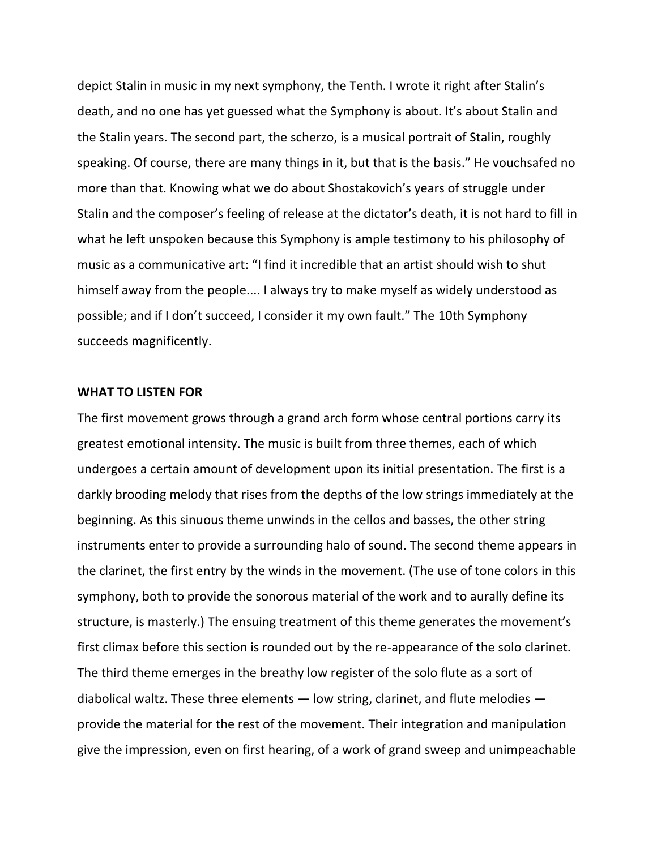depict Stalin in music in my next symphony, the Tenth. I wrote it right after Stalin's death, and no one has yet guessed what the Symphony is about. It's about Stalin and the Stalin years. The second part, the scherzo, is a musical portrait of Stalin, roughly speaking. Of course, there are many things in it, but that is the basis." He vouchsafed no more than that. Knowing what we do about Shostakovich's years of struggle under Stalin and the composer's feeling of release at the dictator's death, it is not hard to fill in what he left unspoken because this Symphony is ample testimony to his philosophy of music as a communicative art: "I find it incredible that an artist should wish to shut himself away from the people.... I always try to make myself as widely understood as possible; and if I don't succeed, I consider it my own fault." The 10th Symphony succeeds magnificently.

### **WHAT TO LISTEN FOR**

The first movement grows through a grand arch form whose central portions carry its greatest emotional intensity. The music is built from three themes, each of which undergoes a certain amount of development upon its initial presentation. The first is a darkly brooding melody that rises from the depths of the low strings immediately at the beginning. As this sinuous theme unwinds in the cellos and basses, the other string instruments enter to provide a surrounding halo of sound. The second theme appears in the clarinet, the first entry by the winds in the movement. (The use of tone colors in this symphony, both to provide the sonorous material of the work and to aurally define its structure, is masterly.) The ensuing treatment of this theme generates the movement's first climax before this section is rounded out by the re-appearance of the solo clarinet. The third theme emerges in the breathy low register of the solo flute as a sort of diabolical waltz. These three elements — low string, clarinet, and flute melodies provide the material for the rest of the movement. Their integration and manipulation give the impression, even on first hearing, of a work of grand sweep and unimpeachable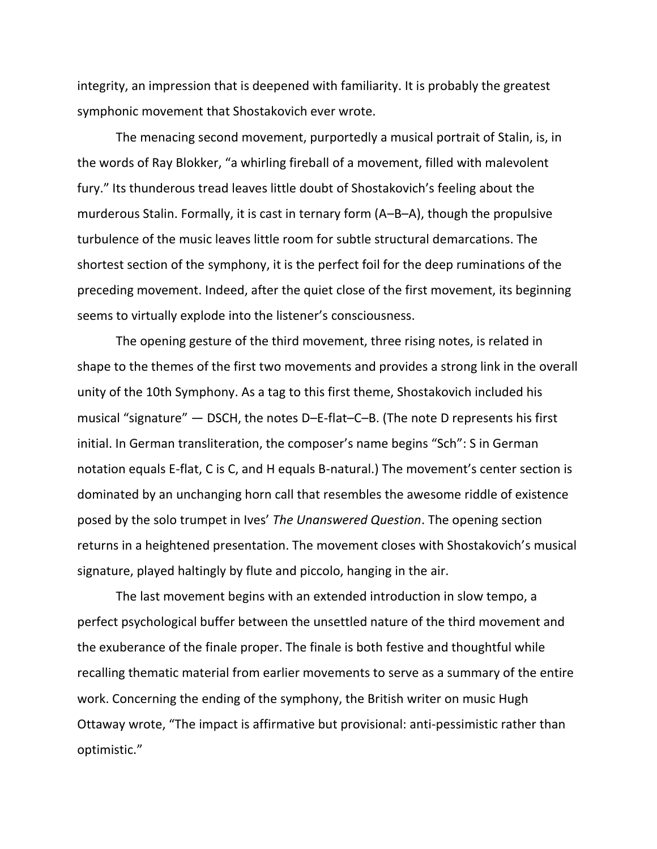integrity, an impression that is deepened with familiarity. It is probably the greatest symphonic movement that Shostakovich ever wrote.

The menacing second movement, purportedly a musical portrait of Stalin, is, in the words of Ray Blokker, "a whirling fireball of a movement, filled with malevolent fury." Its thunderous tread leaves little doubt of Shostakovich's feeling about the murderous Stalin. Formally, it is cast in ternary form (A–B–A), though the propulsive turbulence of the music leaves little room for subtle structural demarcations. The shortest section of the symphony, it is the perfect foil for the deep ruminations of the preceding movement. Indeed, after the quiet close of the first movement, its beginning seems to virtually explode into the listener's consciousness.

The opening gesture of the third movement, three rising notes, is related in shape to the themes of the first two movements and provides a strong link in the overall unity of the 10th Symphony. As a tag to this first theme, Shostakovich included his musical "signature" — DSCH, the notes D–E-flat–C–B. (The note D represents his first initial. In German transliteration, the composer's name begins "Sch": S in German notation equals E-flat, C is C, and H equals B-natural.) The movement's center section is dominated by an unchanging horn call that resembles the awesome riddle of existence posed by the solo trumpet in Ives' *The Unanswered Question*. The opening section returns in a heightened presentation. The movement closes with Shostakovich's musical signature, played haltingly by flute and piccolo, hanging in the air.

The last movement begins with an extended introduction in slow tempo, a perfect psychological buffer between the unsettled nature of the third movement and the exuberance of the finale proper. The finale is both festive and thoughtful while recalling thematic material from earlier movements to serve as a summary of the entire work. Concerning the ending of the symphony, the British writer on music Hugh Ottaway wrote, "The impact is affirmative but provisional: anti-pessimistic rather than optimistic."